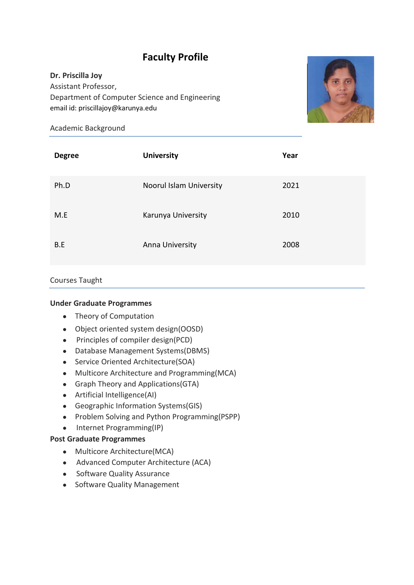# **Faculty Profile**

# **Dr. Priscilla Joy**

Assistant Professor, Department of Computer Science and Engineering email id: priscillajoy@karunya.edu



### Academic Background

| <b>Degree</b> | <b>University</b>       | Year |
|---------------|-------------------------|------|
| Ph.D          | Noorul Islam University | 2021 |
| M.E           | Karunya University      | 2010 |
| B.E           | Anna University         | 2008 |

# Courses Taught

# **Under Graduate Programmes**

- Theory of Computation
- Object oriented system design(OOSD)
- Principles of compiler design(PCD)
- Database Management Systems(DBMS)
- Service Oriented Architecture(SOA)
- Multicore Architecture and Programming(MCA)
- Graph Theory and Applications (GTA)
- Artificial Intelligence(AI)
- Geographic Information Systems(GIS)
- Problem Solving and Python Programming(PSPP)
- Internet Programming(IP)

# **Post Graduate Programmes**

- Multicore Architecture(MCA)
- Advanced Computer Architecture (ACA)
- Software Quality Assurance
- Software Quality Management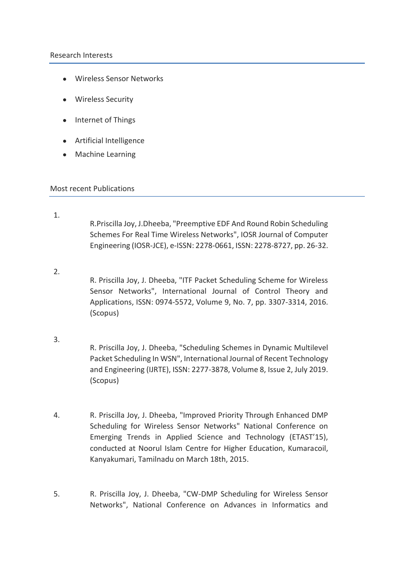#### Research Interests

- Wireless Sensor Networks
- Wireless Security
- Internet of Things
- Artificial Intelligence
- Machine Learning

#### Most recent Publications

- 1. R.Priscilla Joy, J.Dheeba, "Preemptive EDF And Round Robin Scheduling Schemes For Real Time Wireless Networks", IOSR Journal of Computer Engineering (IOSR-JCE), e-ISSN: 2278-0661, ISSN: 2278-8727, pp. 26-32.
- 2. R. Priscilla Joy, J. Dheeba, "ITF Packet Scheduling Scheme for Wireless Sensor Networks", International Journal of Control Theory and Applications, ISSN: 0974-5572, Volume 9, No. 7, pp. 3307-3314, 2016. (Scopus)
- 3.
- R. Priscilla Joy, J. Dheeba, "Scheduling Schemes in Dynamic Multilevel Packet Scheduling In WSN", International Journal of Recent Technology and Engineering (IJRTE), ISSN: 2277-3878, Volume 8, Issue 2, July 2019. (Scopus)
- 4. R. Priscilla Joy, J. Dheeba, "Improved Priority Through Enhanced DMP Scheduling for Wireless Sensor Networks" National Conference on Emerging Trends in Applied Science and Technology (ETAST'15), conducted at Noorul Islam Centre for Higher Education, Kumaracoil, Kanyakumari, Tamilnadu on March 18th, 2015.
- 5. R. Priscilla Joy, J. Dheeba, "CW-DMP Scheduling for Wireless Sensor Networks", National Conference on Advances in Informatics and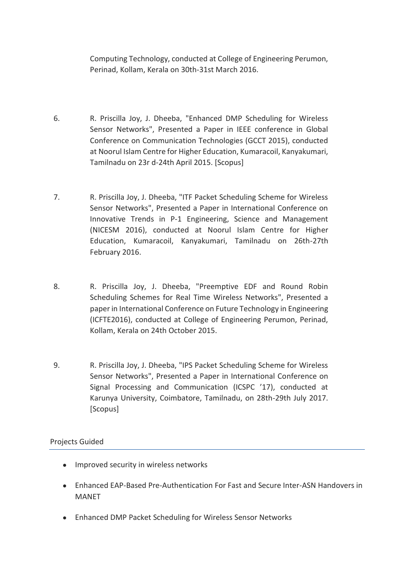Computing Technology, conducted at College of Engineering Perumon, Perinad, Kollam, Kerala on 30th-31st March 2016.

- 6. R. Priscilla Joy, J. Dheeba, "Enhanced DMP Scheduling for Wireless Sensor Networks", Presented a Paper in IEEE conference in Global Conference on Communication Technologies (GCCT 2015), conducted at Noorul Islam Centre for Higher Education, Kumaracoil, Kanyakumari, Tamilnadu on 23r d-24th April 2015. [Scopus]
- 7. R. Priscilla Joy, J. Dheeba, "ITF Packet Scheduling Scheme for Wireless Sensor Networks", Presented a Paper in International Conference on Innovative Trends in P-1 Engineering, Science and Management (NICESM 2016), conducted at Noorul Islam Centre for Higher Education, Kumaracoil, Kanyakumari, Tamilnadu on 26th-27th February 2016.
- 8. R. Priscilla Joy, J. Dheeba, "Preemptive EDF and Round Robin Scheduling Schemes for Real Time Wireless Networks", Presented a paper in International Conference on Future Technology in Engineering (ICFTE2016), conducted at College of Engineering Perumon, Perinad, Kollam, Kerala on 24th October 2015.
- 9. R. Priscilla Joy, J. Dheeba, "IPS Packet Scheduling Scheme for Wireless Sensor Networks", Presented a Paper in International Conference on Signal Processing and Communication (ICSPC '17), conducted at Karunya University, Coimbatore, Tamilnadu, on 28th-29th July 2017. [Scopus]

#### Projects Guided

- Improved security in wireless networks
- Enhanced EAP-Based Pre-Authentication For Fast and Secure Inter-ASN Handovers in MANET
- Enhanced DMP Packet Scheduling for Wireless Sensor Networks